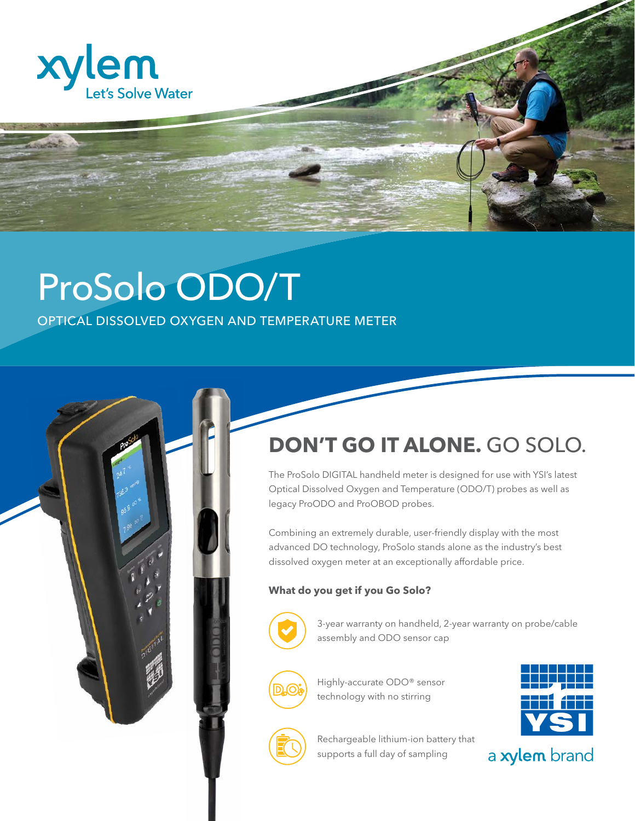

## ProSolo ODO/T

OPTICAL DISSOLVED OXYGEN AND TEMPERATURE METER

## **DON'T GO IT ALONE.** GO SOLO.

The ProSolo DIGITAL handheld meter is designed for use with YSI's latest Optical Dissolved Oxygen and Temperature (ODO/T) probes as well as legacy ProODO and ProOBOD probes.

Combining an extremely durable, user-friendly display with the most advanced DO technology, ProSolo stands alone as the industry's best dissolved oxygen meter at an exceptionally affordable price.

## **What do you get if you Go Solo?**



3-year warranty on handheld, 2-year warranty on probe/cable assembly and ODO sensor cap



Highly-accurate ODO® sensor technology with no stirring





Rechargeable lithium-ion battery that supports a full day of sampling